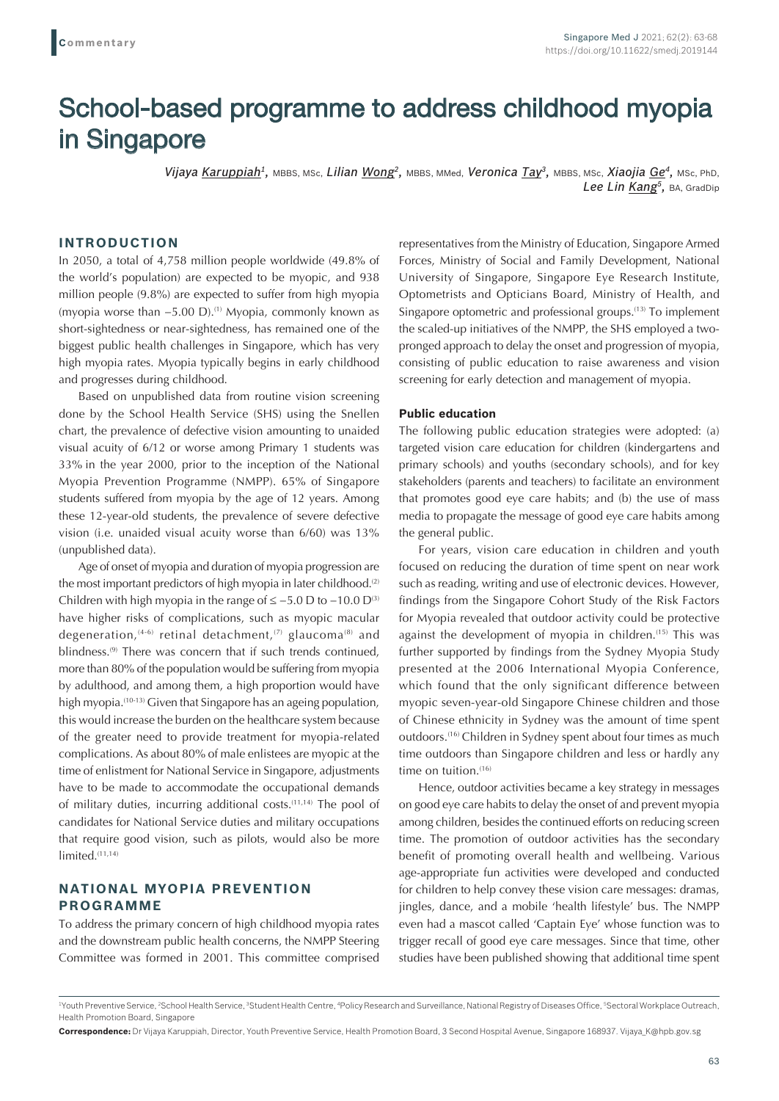# School-based programme to address childhood myopia in Singapore

*Vijaya Karuppiah1,* MBBS, MSc, *Lilian Wong2,* MBBS, MMed, *Veronica Tay3,* MBBS, MSc, *Xiaojia Ge4,* MSc, PhD, *Lee Lin Kang5,* BA, GradDip

## **INTRODUCTION**

In 2050, a total of 4,758 million people worldwide (49.8% of the world's population) are expected to be myopic, and 938 million people (9.8%) are expected to suffer from high myopia (myopia worse than −5.00 D).(1) Myopia, commonly known as short-sightedness or near-sightedness, has remained one of the biggest public health challenges in Singapore, which has very high myopia rates. Myopia typically begins in early childhood and progresses during childhood.

Based on unpublished data from routine vision screening done by the School Health Service (SHS) using the Snellen chart, the prevalence of defective vision amounting to unaided visual acuity of 6/12 or worse among Primary 1 students was 33% in the year 2000, prior to the inception of the National Myopia Prevention Programme (NMPP). 65% of Singapore students suffered from myopia by the age of 12 years. Among these 12-year-old students, the prevalence of severe defective vision (i.e. unaided visual acuity worse than 6/60) was 13% (unpublished data).

Age of onset of myopia and duration of myopia progression are the most important predictors of high myopia in later childhood.<sup>(2)</sup> Children with high myopia in the range of  $\le -5.0$  D to  $-10.0$  D<sup>(3)</sup> have higher risks of complications, such as myopic macular degeneration,<sup>(4-6)</sup> retinal detachment,<sup>(7)</sup> glaucoma<sup>(8)</sup> and blindness.<sup>(9)</sup> There was concern that if such trends continued, more than 80% of the population would be suffering from myopia by adulthood, and among them, a high proportion would have high myopia.<sup>(10-13)</sup> Given that Singapore has an ageing population, this would increase the burden on the healthcare system because of the greater need to provide treatment for myopia-related complications. As about 80% of male enlistees are myopic at the time of enlistment for National Service in Singapore, adjustments have to be made to accommodate the occupational demands of military duties, incurring additional costs.<sup>(11,14)</sup> The pool of candidates for National Service duties and military occupations that require good vision, such as pilots, would also be more limited.<sup>(11,14)</sup>

## **NATIONAL MYOPIA PREVENTION PROGRAMME**

To address the primary concern of high childhood myopia rates and the downstream public health concerns, the NMPP Steering Committee was formed in 2001. This committee comprised representatives from the Ministry of Education, Singapore Armed Forces, Ministry of Social and Family Development, National University of Singapore, Singapore Eye Research Institute, Optometrists and Opticians Board, Ministry of Health, and Singapore optometric and professional groups.<sup>(13)</sup> To implement the scaled-up initiatives of the NMPP, the SHS employed a twopronged approach to delay the onset and progression of myopia, consisting of public education to raise awareness and vision screening for early detection and management of myopia.

#### **Public education**

The following public education strategies were adopted: (a) targeted vision care education for children (kindergartens and primary schools) and youths (secondary schools), and for key stakeholders (parents and teachers) to facilitate an environment that promotes good eye care habits; and (b) the use of mass media to propagate the message of good eye care habits among the general public.

For years, vision care education in children and youth focused on reducing the duration of time spent on near work such as reading, writing and use of electronic devices. However, findings from the Singapore Cohort Study of the Risk Factors for Myopia revealed that outdoor activity could be protective against the development of myopia in children.<sup>(15)</sup> This was further supported by findings from the Sydney Myopia Study presented at the 2006 International Myopia Conference, which found that the only significant difference between myopic seven-year-old Singapore Chinese children and those of Chinese ethnicity in Sydney was the amount of time spent outdoors.<sup>(16)</sup> Children in Sydney spent about four times as much time outdoors than Singapore children and less or hardly any time on tuition.<sup>(16)</sup>

Hence, outdoor activities became a key strategy in messages on good eye care habits to delay the onset of and prevent myopia among children, besides the continued efforts on reducing screen time. The promotion of outdoor activities has the secondary benefit of promoting overall health and wellbeing. Various age-appropriate fun activities were developed and conducted for children to help convey these vision care messages: dramas, jingles, dance, and a mobile 'health lifestyle' bus. The NMPP even had a mascot called 'Captain Eye' whose function was to trigger recall of good eye care messages. Since that time, other studies have been published showing that additional time spent

<sup>&</sup>lt;sup>1</sup>Youth Preventive Service, <sup>2</sup>School Health Service, <sup>3</sup>Student Health Centre, <sup>4</sup>Policy Research and Surveillance, National Registry of Diseases Office, <sup>5</sup>Sectoral Workplace Outreach, Health Promotion Board, Singapore

**Correspondence:** Dr Vijaya Karuppiah, Director, Youth Preventive Service, Health Promotion Board, 3 Second Hospital Avenue, Singapore 168937. Vijaya\_K@hpb.gov.sg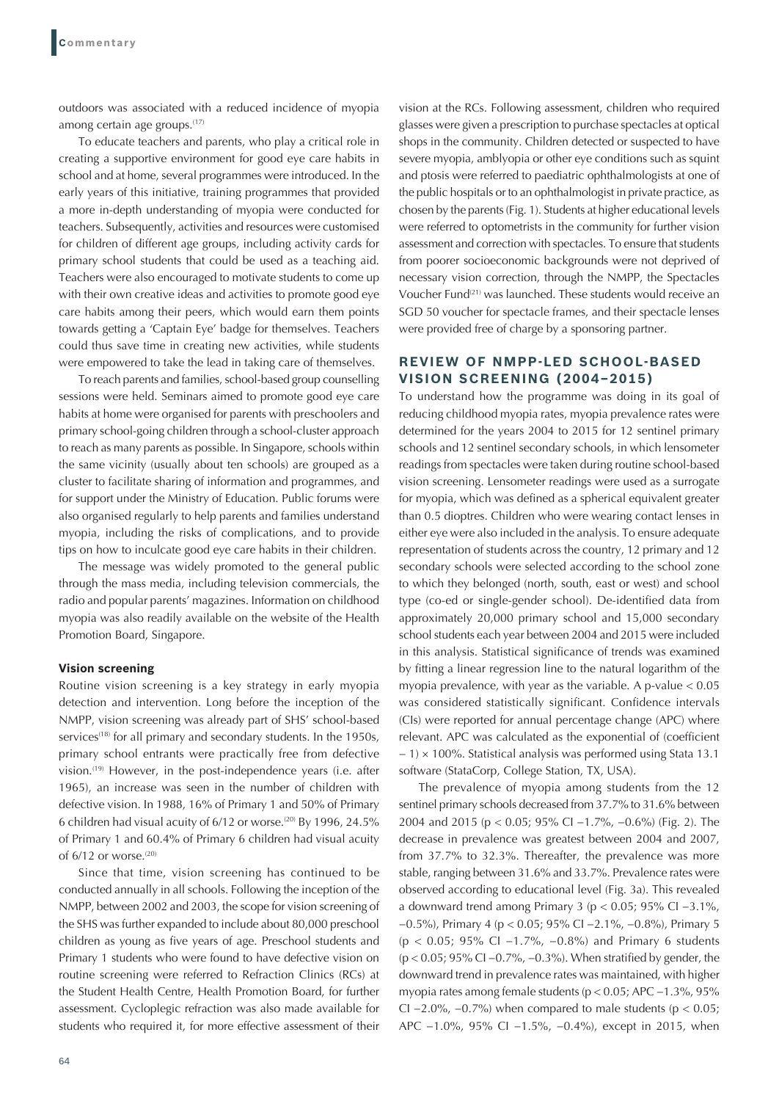outdoors was associated with a reduced incidence of myopia among certain age groups.<sup>(17)</sup>

To educate teachers and parents, who play a critical role in creating a supportive environment for good eye care habits in school and at home, several programmes were introduced. In the early years of this initiative, training programmes that provided a more in-depth understanding of myopia were conducted for teachers. Subsequently, activities and resources were customised for children of different age groups, including activity cards for primary school students that could be used as a teaching aid. Teachers were also encouraged to motivate students to come up with their own creative ideas and activities to promote good eye care habits among their peers, which would earn them points towards getting a 'Captain Eye' badge for themselves. Teachers could thus save time in creating new activities, while students were empowered to take the lead in taking care of themselves.

To reach parents and families, school-based group counselling sessions were held. Seminars aimed to promote good eye care habits at home were organised for parents with preschoolers and primary school-going children through a school-cluster approach to reach as many parents as possible. In Singapore, schools within the same vicinity (usually about ten schools) are grouped as a cluster to facilitate sharing of information and programmes, and for support under the Ministry of Education. Public forums were also organised regularly to help parents and families understand myopia, including the risks of complications, and to provide tips on how to inculcate good eye care habits in their children.

The message was widely promoted to the general public through the mass media, including television commercials, the radio and popular parents' magazines. Information on childhood myopia was also readily available on the website of the Health Promotion Board, Singapore.

#### **Vision screening**

Routine vision screening is a key strategy in early myopia detection and intervention. Long before the inception of the NMPP, vision screening was already part of SHS' school-based services<sup>(18)</sup> for all primary and secondary students. In the 1950s, primary school entrants were practically free from defective vision.(19) However, in the post-independence years (i.e. after 1965), an increase was seen in the number of children with defective vision. In 1988, 16% of Primary 1 and 50% of Primary 6 children had visual acuity of  $6/12$  or worse.<sup>(20)</sup> By 1996, 24.5% of Primary 1 and 60.4% of Primary 6 children had visual acuity of  $6/12$  or worse.<sup>(20)</sup>

Since that time, vision screening has continued to be conducted annually in all schools. Following the inception of the NMPP, between 2002 and 2003, the scope for vision screening of the SHS was further expanded to include about 80,000 preschool children as young as five years of age. Preschool students and Primary 1 students who were found to have defective vision on routine screening were referred to Refraction Clinics (RCs) at the Student Health Centre, Health Promotion Board, for further assessment. Cycloplegic refraction was also made available for students who required it, for more effective assessment of their

64

vision at the RCs. Following assessment, children who required glasses were given a prescription to purchase spectacles at optical shops in the community. Children detected or suspected to have severe myopia, amblyopia or other eye conditions such as squint and ptosis were referred to paediatric ophthalmologists at one of the public hospitals or to an ophthalmologist in private practice, as chosen by the parents (Fig. 1). Students at higher educational levels were referred to optometrists in the community for further vision assessment and correction with spectacles. To ensure that students from poorer socioeconomic backgrounds were not deprived of necessary vision correction, through the NMPP, the Spectacles Voucher Fund<sup>(21)</sup> was launched. These students would receive an SGD 50 voucher for spectacle frames, and their spectacle lenses were provided free of charge by a sponsoring partner.

## **REVIEW OF NMPP-LED SCHOOL-BASED VISION SCREENING (2004–2015)**

To understand how the programme was doing in its goal of reducing childhood myopia rates, myopia prevalence rates were determined for the years 2004 to 2015 for 12 sentinel primary schools and 12 sentinel secondary schools, in which lensometer readings from spectacles were taken during routine school-based vision screening. Lensometer readings were used as a surrogate for myopia, which was defined as a spherical equivalent greater than 0.5 dioptres. Children who were wearing contact lenses in either eye were also included in the analysis. To ensure adequate representation of students across the country, 12 primary and 12 secondary schools were selected according to the school zone to which they belonged (north, south, east or west) and school type (co-ed or single-gender school). De-identified data from approximately 20,000 primary school and 15,000 secondary school students each year between 2004 and 2015 were included in this analysis. Statistical significance of trends was examined by fitting a linear regression line to the natural logarithm of the myopia prevalence, with year as the variable. A p-value  $< 0.05$ was considered statistically significant. Confidence intervals (CIs) were reported for annual percentage change (APC) where relevant. APC was calculated as the exponential of (coefficient − 1) × 100%. Statistical analysis was performed using Stata 13.1 software (StataCorp, College Station, TX, USA).

The prevalence of myopia among students from the 12 sentinel primary schools decreased from 37.7% to 31.6% between 2004 and 2015 (p < 0.05; 95% CI −1.7%, −0.6%) (Fig. 2). The decrease in prevalence was greatest between 2004 and 2007, from 37.7% to 32.3%. Thereafter, the prevalence was more stable, ranging between 31.6% and 33.7%. Prevalence rates were observed according to educational level (Fig. 3a). This revealed a downward trend among Primary 3 (p < 0.05; 95% CI −3.1%, −0.5%), Primary 4 (p < 0.05; 95% CI −2.1%, −0.8%), Primary 5 (p < 0.05; 95% CI −1.7%, −0.8%) and Primary 6 students (p < 0.05; 95% CI −0.7%, −0.3%). When stratified by gender, the downward trend in prevalence rates was maintained, with higher myopia rates among female students (p < 0.05; APC −1.3%, 95% CI  $-2.0\%$ ,  $-0.7\%$ ) when compared to male students (p < 0.05; APC −1.0%, 95% CI −1.5%, −0.4%), except in 2015, when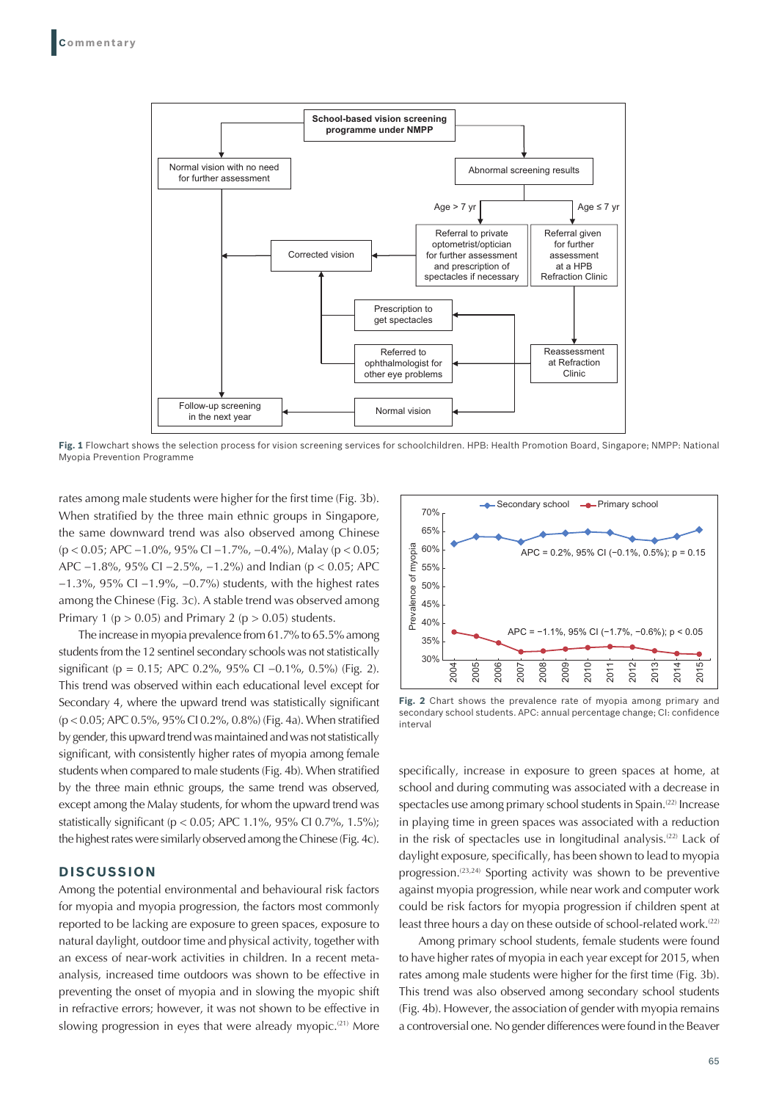

**Fig. 1** Flowchart shows the selection process for vision screening services for schoolchildren. HPB: Health Promotion Board, Singapore; NMPP: National Myopia Prevention Programme

rates among male students were higher for the first time (Fig. 3b). When stratified by the three main ethnic groups in Singapore, the same downward trend was also observed among Chinese (p < 0.05; APC −1.0%, 95% CI −1.7%, −0.4%), Malay (p < 0.05; APC −1.8%, 95% CI −2.5%, −1.2%) and Indian (p < 0.05; APC −1.3%, 95% CI −1.9%, −0.7%) students, with the highest rates among the Chinese (Fig. 3c). A stable trend was observed among Primary 1 ( $p > 0.05$ ) and Primary 2 ( $p > 0.05$ ) students.

The increase in myopia prevalence from 61.7% to 65.5% among students from the 12 sentinel secondary schools was not statistically significant (p = 0.15; APC 0.2%, 95% CI −0.1%, 0.5%) (Fig. 2). This trend was observed within each educational level except for Secondary 4, where the upward trend was statistically significant (p < 0.05; APC 0.5%, 95% CI 0.2%, 0.8%) (Fig. 4a). When stratified by gender, this upward trend was maintained and was not statistically significant, with consistently higher rates of myopia among female students when compared to male students (Fig. 4b). When stratified by the three main ethnic groups, the same trend was observed, except among the Malay students, for whom the upward trend was statistically significant (p < 0.05; APC 1.1%, 95% CI 0.7%, 1.5%); the highest rates were similarly observed among the Chinese (Fig. 4c).

# **DISCUSSION**

Among the potential environmental and behavioural risk factors for myopia and myopia progression, the factors most commonly reported to be lacking are exposure to green spaces, exposure to natural daylight, outdoor time and physical activity, together with an excess of near-work activities in children. In a recent metaanalysis, increased time outdoors was shown to be effective in preventing the onset of myopia and in slowing the myopic shift in refractive errors; however, it was not shown to be effective in slowing progression in eyes that were already myopic.<sup>(21)</sup> More



**Fig. 2** Chart shows the prevalence rate of myopia among primary and secondary school students. APC: annual percentage change; CI: confidence interval

specifically, increase in exposure to green spaces at home, at school and during commuting was associated with a decrease in spectacles use among primary school students in Spain.<sup>(22)</sup> Increase in playing time in green spaces was associated with a reduction in the risk of spectacles use in longitudinal analysis.(22) Lack of daylight exposure, specifically, has been shown to lead to myopia progression.<sup>(23,24)</sup> Sporting activity was shown to be preventive against myopia progression, while near work and computer work could be risk factors for myopia progression if children spent at least three hours a day on these outside of school-related work.<sup>(22)</sup>

Among primary school students, female students were found to have higher rates of myopia in each year except for 2015, when rates among male students were higher for the first time (Fig. 3b). This trend was also observed among secondary school students (Fig. 4b). However, the association of gender with myopia remains a controversial one. No gender differences were found in the Beaver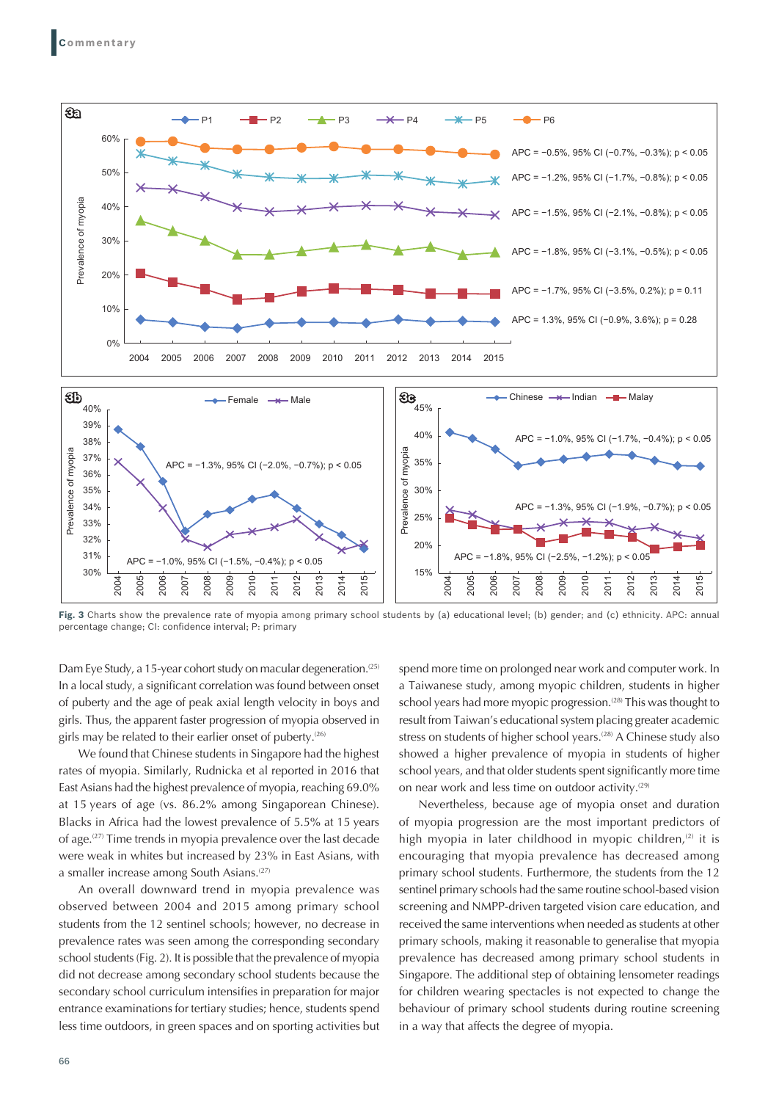

**Fig. 3** Charts show the prevalence rate of myopia among primary school students by (a) educational level; (b) gender; and (c) ethnicity. APC: annual percentage change; CI: confidence interval; P: primary

Dam Eye Study, a 15-year cohort study on macular degeneration.<sup>(25)</sup> In a local study, a significant correlation was found between onset of puberty and the age of peak axial length velocity in boys and girls. Thus, the apparent faster progression of myopia observed in girls may be related to their earlier onset of puberty.<sup>(26)</sup>

We found that Chinese students in Singapore had the highest rates of myopia. Similarly, Rudnicka et al reported in 2016 that East Asians had the highest prevalence of myopia, reaching 69.0% at 15 years of age (vs. 86.2% among Singaporean Chinese). Blacks in Africa had the lowest prevalence of 5.5% at 15 years of age.(27) Time trends in myopia prevalence over the last decade were weak in whites but increased by 23% in East Asians, with a smaller increase among South Asians.<sup>(27)</sup>

An overall downward trend in myopia prevalence was observed between 2004 and 2015 among primary school students from the 12 sentinel schools; however, no decrease in prevalence rates was seen among the corresponding secondary school students (Fig. 2). It is possible that the prevalence of myopia did not decrease among secondary school students because the secondary school curriculum intensifies in preparation for major entrance examinations for tertiary studies; hence, students spend less time outdoors, in green spaces and on sporting activities but

spend more time on prolonged near work and computer work. In a Taiwanese study, among myopic children, students in higher school years had more myopic progression.<sup>(28)</sup> This was thought to result from Taiwan's educational system placing greater academic stress on students of higher school years.<sup>(28)</sup> A Chinese study also showed a higher prevalence of myopia in students of higher school years, and that older students spent significantly more time on near work and less time on outdoor activity. $(29)$ 

Nevertheless, because age of myopia onset and duration of myopia progression are the most important predictors of high myopia in later childhood in myopic children, $(2)$  it is encouraging that myopia prevalence has decreased among primary school students. Furthermore, the students from the 12 sentinel primary schools had the same routine school-based vision screening and NMPP-driven targeted vision care education, and received the same interventions when needed as students at other primary schools, making it reasonable to generalise that myopia prevalence has decreased among primary school students in Singapore. The additional step of obtaining lensometer readings for children wearing spectacles is not expected to change the behaviour of primary school students during routine screening in a way that affects the degree of myopia.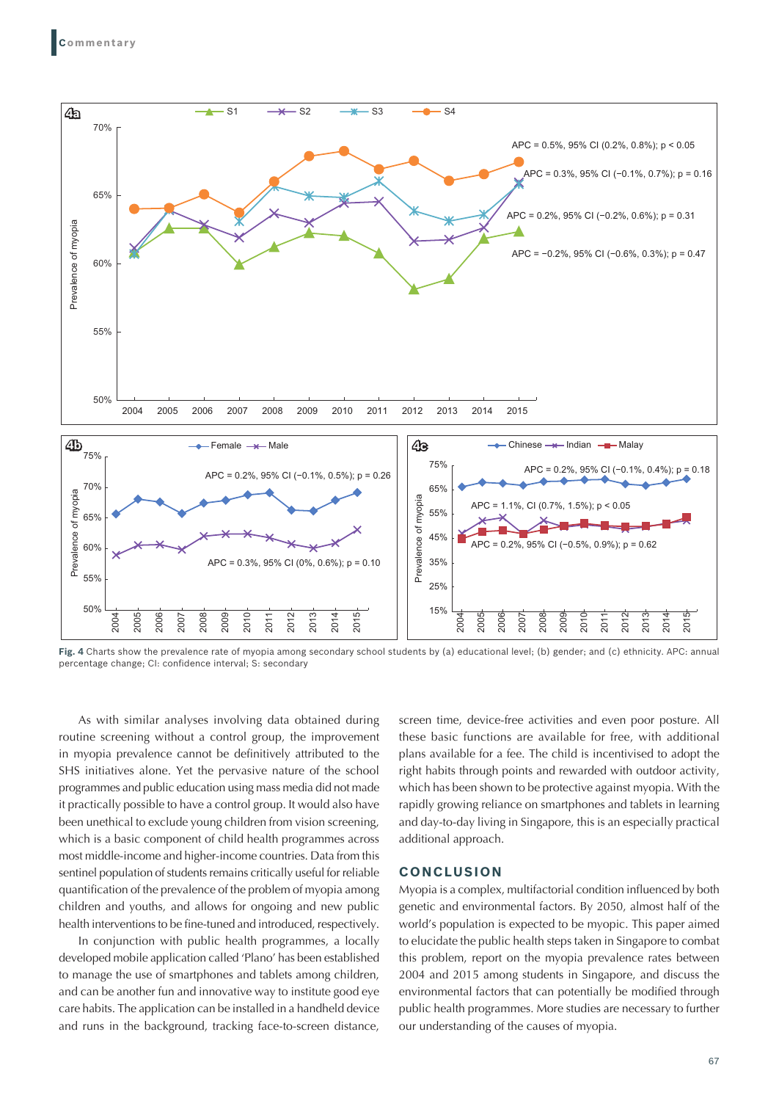

**Fig. 4** Charts show the prevalence rate of myopia among secondary school students by (a) educational level; (b) gender; and (c) ethnicity. APC: annual percentage change; CI: confidence interval; S: secondary

As with similar analyses involving data obtained during routine screening without a control group, the improvement in myopia prevalence cannot be definitively attributed to the SHS initiatives alone. Yet the pervasive nature of the school programmes and public education using mass media did not made it practically possible to have a control group. It would also have been unethical to exclude young children from vision screening, which is a basic component of child health programmes across most middle-income and higher-income countries. Data from this sentinel population of students remains critically useful for reliable quantification of the prevalence of the problem of myopia among children and youths, and allows for ongoing and new public health interventions to be fine-tuned and introduced, respectively.

In conjunction with public health programmes, a locally developed mobile application called 'Plano' has been established to manage the use of smartphones and tablets among children, and can be another fun and innovative way to institute good eye care habits. The application can be installed in a handheld device and runs in the background, tracking face-to-screen distance,

screen time, device-free activities and even poor posture. All these basic functions are available for free, with additional plans available for a fee. The child is incentivised to adopt the right habits through points and rewarded with outdoor activity, which has been shown to be protective against myopia. With the rapidly growing reliance on smartphones and tablets in learning and day-to-day living in Singapore, this is an especially practical additional approach.

### **CONCLUSION**

Myopia is a complex, multifactorial condition influenced by both genetic and environmental factors. By 2050, almost half of the world's population is expected to be myopic. This paper aimed to elucidate the public health steps taken in Singapore to combat this problem, report on the myopia prevalence rates between 2004 and 2015 among students in Singapore, and discuss the environmental factors that can potentially be modified through public health programmes. More studies are necessary to further our understanding of the causes of myopia.